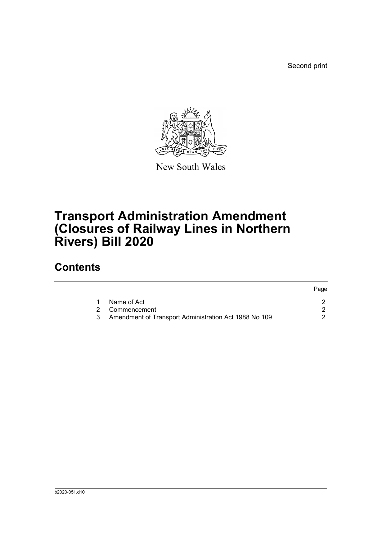Second print



New South Wales

## **Transport Administration Amendment (Closures of Railway Lines in Northern Rivers) Bill 2020**

## **Contents**

|   |                                                         | Page |
|---|---------------------------------------------------------|------|
| 1 | Name of Act                                             |      |
|   | 2 Commencement                                          |      |
|   | 3 Amendment of Transport Administration Act 1988 No 109 |      |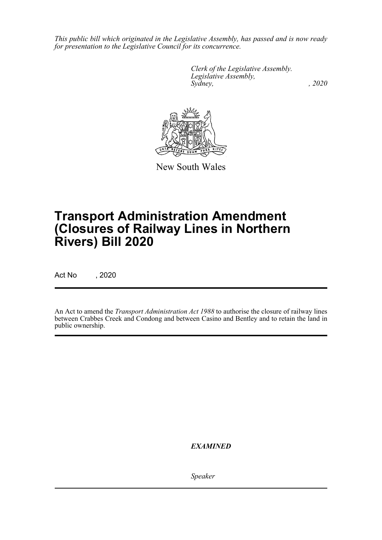*This public bill which originated in the Legislative Assembly, has passed and is now ready for presentation to the Legislative Council for its concurrence.*

> *Clerk of the Legislative Assembly. Legislative Assembly, Sydney, , 2020*



New South Wales

## **Transport Administration Amendment (Closures of Railway Lines in Northern Rivers) Bill 2020**

Act No , 2020

An Act to amend the *Transport Administration Act 1988* to authorise the closure of railway lines between Crabbes Creek and Condong and between Casino and Bentley and to retain the land in public ownership.

*EXAMINED*

*Speaker*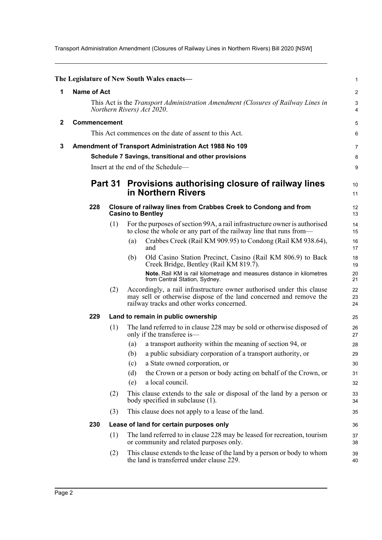Transport Administration Amendment (Closures of Railway Lines in Northern Rivers) Bill 2020 [NSW]

<span id="page-2-2"></span><span id="page-2-1"></span><span id="page-2-0"></span>

|     |     |                                                                                                                                                                                          | $\mathbf{1}$                                                                                                                                                                                                                                                                                                                                                                                                                                                                                                                                                                                                                                                                                                                                                                                                                                                                                                                          |
|-----|-----|------------------------------------------------------------------------------------------------------------------------------------------------------------------------------------------|---------------------------------------------------------------------------------------------------------------------------------------------------------------------------------------------------------------------------------------------------------------------------------------------------------------------------------------------------------------------------------------------------------------------------------------------------------------------------------------------------------------------------------------------------------------------------------------------------------------------------------------------------------------------------------------------------------------------------------------------------------------------------------------------------------------------------------------------------------------------------------------------------------------------------------------|
|     |     |                                                                                                                                                                                          | $\boldsymbol{2}$                                                                                                                                                                                                                                                                                                                                                                                                                                                                                                                                                                                                                                                                                                                                                                                                                                                                                                                      |
|     |     |                                                                                                                                                                                          | 3<br>4                                                                                                                                                                                                                                                                                                                                                                                                                                                                                                                                                                                                                                                                                                                                                                                                                                                                                                                                |
|     |     |                                                                                                                                                                                          | 5                                                                                                                                                                                                                                                                                                                                                                                                                                                                                                                                                                                                                                                                                                                                                                                                                                                                                                                                     |
|     |     |                                                                                                                                                                                          | 6                                                                                                                                                                                                                                                                                                                                                                                                                                                                                                                                                                                                                                                                                                                                                                                                                                                                                                                                     |
|     |     |                                                                                                                                                                                          | 7                                                                                                                                                                                                                                                                                                                                                                                                                                                                                                                                                                                                                                                                                                                                                                                                                                                                                                                                     |
|     |     |                                                                                                                                                                                          | 8                                                                                                                                                                                                                                                                                                                                                                                                                                                                                                                                                                                                                                                                                                                                                                                                                                                                                                                                     |
|     |     |                                                                                                                                                                                          | 9                                                                                                                                                                                                                                                                                                                                                                                                                                                                                                                                                                                                                                                                                                                                                                                                                                                                                                                                     |
|     |     | Provisions authorising closure of railway lines<br>in Northern Rivers                                                                                                                    | 10<br>11                                                                                                                                                                                                                                                                                                                                                                                                                                                                                                                                                                                                                                                                                                                                                                                                                                                                                                                              |
| 228 |     |                                                                                                                                                                                          | 12<br>13                                                                                                                                                                                                                                                                                                                                                                                                                                                                                                                                                                                                                                                                                                                                                                                                                                                                                                                              |
|     | (1) | For the purposes of section 99A, a rail infrastructure owner is authorised<br>to close the whole or any part of the railway line that runs from-                                         | 14<br>15                                                                                                                                                                                                                                                                                                                                                                                                                                                                                                                                                                                                                                                                                                                                                                                                                                                                                                                              |
|     |     | Crabbes Creek (Rail KM 909.95) to Condong (Rail KM 938.64),<br>(a)<br>and                                                                                                                | 16<br>17                                                                                                                                                                                                                                                                                                                                                                                                                                                                                                                                                                                                                                                                                                                                                                                                                                                                                                                              |
|     |     | Old Casino Station Precinct, Casino (Rail KM 806.9) to Back<br>(b)<br>Creek Bridge, Bentley (Rail KM 819.7).                                                                             | 18<br>19                                                                                                                                                                                                                                                                                                                                                                                                                                                                                                                                                                                                                                                                                                                                                                                                                                                                                                                              |
|     |     | from Central Station, Sydney.                                                                                                                                                            | 20<br>21                                                                                                                                                                                                                                                                                                                                                                                                                                                                                                                                                                                                                                                                                                                                                                                                                                                                                                                              |
|     | (2) | Accordingly, a rail infrastructure owner authorised under this clause<br>may sell or otherwise dispose of the land concerned and remove the<br>railway tracks and other works concerned. | 22<br>23<br>24                                                                                                                                                                                                                                                                                                                                                                                                                                                                                                                                                                                                                                                                                                                                                                                                                                                                                                                        |
| 229 |     |                                                                                                                                                                                          | 25                                                                                                                                                                                                                                                                                                                                                                                                                                                                                                                                                                                                                                                                                                                                                                                                                                                                                                                                    |
|     | (1) | The land referred to in clause 228 may be sold or otherwise disposed of<br>only if the transferee is-                                                                                    | 26<br>27                                                                                                                                                                                                                                                                                                                                                                                                                                                                                                                                                                                                                                                                                                                                                                                                                                                                                                                              |
|     |     | a transport authority within the meaning of section 94, or<br>(a)                                                                                                                        | 28                                                                                                                                                                                                                                                                                                                                                                                                                                                                                                                                                                                                                                                                                                                                                                                                                                                                                                                                    |
|     |     | a public subsidiary corporation of a transport authority, or<br>(b)                                                                                                                      | 29                                                                                                                                                                                                                                                                                                                                                                                                                                                                                                                                                                                                                                                                                                                                                                                                                                                                                                                                    |
|     |     |                                                                                                                                                                                          | 30                                                                                                                                                                                                                                                                                                                                                                                                                                                                                                                                                                                                                                                                                                                                                                                                                                                                                                                                    |
|     |     |                                                                                                                                                                                          | 31                                                                                                                                                                                                                                                                                                                                                                                                                                                                                                                                                                                                                                                                                                                                                                                                                                                                                                                                    |
|     |     |                                                                                                                                                                                          | 32                                                                                                                                                                                                                                                                                                                                                                                                                                                                                                                                                                                                                                                                                                                                                                                                                                                                                                                                    |
|     |     | body specified in subclause (1).                                                                                                                                                         | 33<br>34                                                                                                                                                                                                                                                                                                                                                                                                                                                                                                                                                                                                                                                                                                                                                                                                                                                                                                                              |
|     | (3) |                                                                                                                                                                                          | 35                                                                                                                                                                                                                                                                                                                                                                                                                                                                                                                                                                                                                                                                                                                                                                                                                                                                                                                                    |
| 230 |     |                                                                                                                                                                                          | 36                                                                                                                                                                                                                                                                                                                                                                                                                                                                                                                                                                                                                                                                                                                                                                                                                                                                                                                                    |
|     | (1) | The land referred to in clause 228 may be leased for recreation, tourism<br>or community and related purposes only.                                                                      | 37<br>38                                                                                                                                                                                                                                                                                                                                                                                                                                                                                                                                                                                                                                                                                                                                                                                                                                                                                                                              |
|     | (2) | This clause extends to the lease of the land by a person or body to whom<br>the land is transferred under clause 229.                                                                    | 39<br>40                                                                                                                                                                                                                                                                                                                                                                                                                                                                                                                                                                                                                                                                                                                                                                                                                                                                                                                              |
|     |     | <b>Name of Act</b><br>Commencement<br>(2)                                                                                                                                                | The Legislature of New South Wales enacts-<br>This Act is the <i>Transport Administration Amendment (Closures of Railway Lines in</i><br>Northern Rivers) Act 2020.<br>This Act commences on the date of assent to this Act.<br>Amendment of Transport Administration Act 1988 No 109<br>Schedule 7 Savings, transitional and other provisions<br>Insert at the end of the Schedule-<br>Part 31<br>Closure of railway lines from Crabbes Creek to Condong and from<br><b>Casino to Bentley</b><br>Note. Rail KM is rail kilometrage and measures distance in kilometres<br>Land to remain in public ownership<br>a State owned corporation, or<br>(c)<br>the Crown or a person or body acting on behalf of the Crown, or<br>(d)<br>a local council.<br>(e)<br>This clause extends to the sale or disposal of the land by a person or<br>This clause does not apply to a lease of the land.<br>Lease of land for certain purposes only |